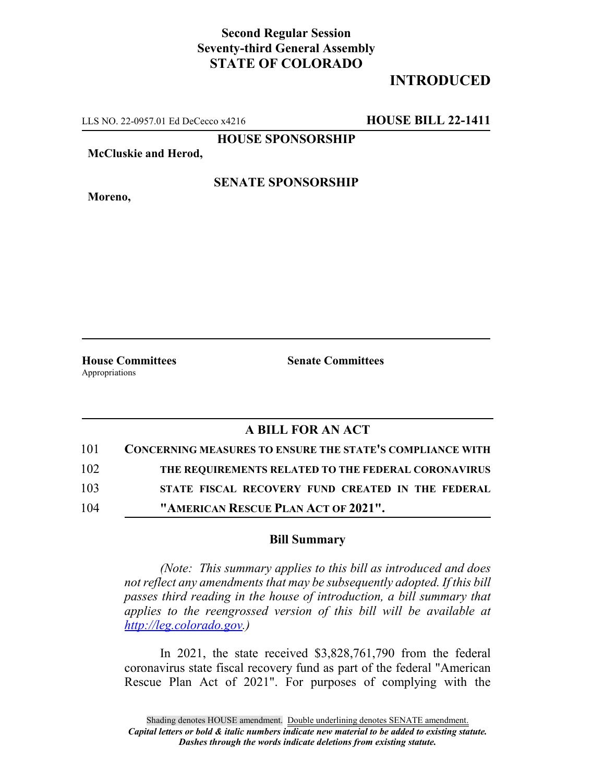## **Second Regular Session Seventy-third General Assembly STATE OF COLORADO**

# **INTRODUCED**

LLS NO. 22-0957.01 Ed DeCecco x4216 **HOUSE BILL 22-1411**

**HOUSE SPONSORSHIP**

**McCluskie and Herod,**

**Moreno,**

### **SENATE SPONSORSHIP**

**House Committees Senate Committees** Appropriations

## **A BILL FOR AN ACT**

| 101 | <b>CONCERNING MEASURES TO ENSURE THE STATE'S COMPLIANCE WITH</b> |
|-----|------------------------------------------------------------------|
| 102 | THE REQUIREMENTS RELATED TO THE FEDERAL CORONAVIRUS              |
| 103 | STATE FISCAL RECOVERY FUND CREATED IN THE FEDERAL                |
| 104 | "AMERICAN RESCUE PLAN ACT OF 2021".                              |

#### **Bill Summary**

*(Note: This summary applies to this bill as introduced and does not reflect any amendments that may be subsequently adopted. If this bill passes third reading in the house of introduction, a bill summary that applies to the reengrossed version of this bill will be available at http://leg.colorado.gov.)*

In 2021, the state received \$3,828,761,790 from the federal coronavirus state fiscal recovery fund as part of the federal "American Rescue Plan Act of 2021". For purposes of complying with the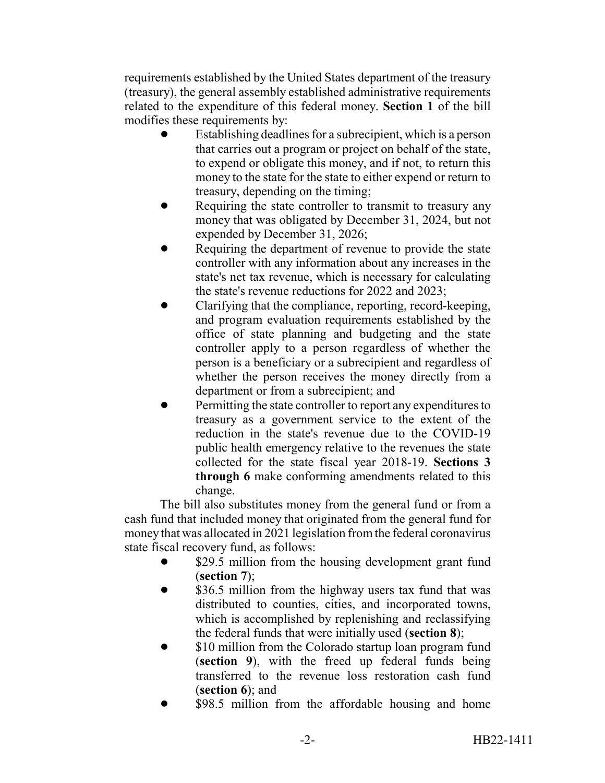requirements established by the United States department of the treasury (treasury), the general assembly established administrative requirements related to the expenditure of this federal money. **Section 1** of the bill modifies these requirements by:

- Establishing deadlines for a subrecipient, which is a person that carries out a program or project on behalf of the state, to expend or obligate this money, and if not, to return this money to the state for the state to either expend or return to treasury, depending on the timing;
- Requiring the state controller to transmit to treasury any money that was obligated by December 31, 2024, but not expended by December 31, 2026;
- Requiring the department of revenue to provide the state controller with any information about any increases in the state's net tax revenue, which is necessary for calculating the state's revenue reductions for 2022 and 2023;
- ! Clarifying that the compliance, reporting, record-keeping, and program evaluation requirements established by the office of state planning and budgeting and the state controller apply to a person regardless of whether the person is a beneficiary or a subrecipient and regardless of whether the person receives the money directly from a department or from a subrecipient; and
- Permitting the state controller to report any expenditures to treasury as a government service to the extent of the reduction in the state's revenue due to the COVID-19 public health emergency relative to the revenues the state collected for the state fiscal year 2018-19. **Sections 3 through 6** make conforming amendments related to this change.

The bill also substitutes money from the general fund or from a cash fund that included money that originated from the general fund for money that was allocated in 2021 legislation from the federal coronavirus state fiscal recovery fund, as follows:

- \$29.5 million from the housing development grant fund (**section 7**);
- \$36.5 million from the highway users tax fund that was distributed to counties, cities, and incorporated towns, which is accomplished by replenishing and reclassifying the federal funds that were initially used (**section 8**);
- \$10 million from the Colorado startup loan program fund (**section 9**), with the freed up federal funds being transferred to the revenue loss restoration cash fund (**section 6**); and
- \$98.5 million from the affordable housing and home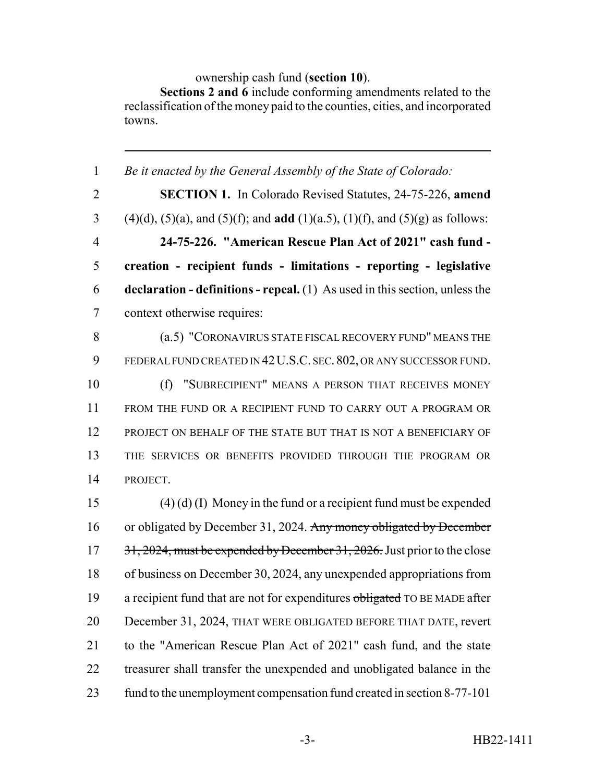ownership cash fund (**section 10**).

**Sections 2 and 6** include conforming amendments related to the reclassification of the money paid to the counties, cities, and incorporated towns.

| $\mathbf{1}$   | Be it enacted by the General Assembly of the State of Colorado:                                      |
|----------------|------------------------------------------------------------------------------------------------------|
| $\overline{2}$ | <b>SECTION 1.</b> In Colorado Revised Statutes, 24-75-226, amend                                     |
| 3              | $(4)(d)$ , $(5)(a)$ , and $(5)(f)$ ; and <b>add</b> $(1)(a.5)$ , $(1)(f)$ , and $(5)(g)$ as follows: |
| $\overline{4}$ | 24-75-226. "American Rescue Plan Act of 2021" cash fund -                                            |
| 5              | creation - recipient funds - limitations - reporting - legislative                                   |
| 6              | <b>declaration - definitions - repeal.</b> (1) As used in this section, unless the                   |
| $\tau$         | context otherwise requires:                                                                          |
| 8              | (a.5) "CORONAVIRUS STATE FISCAL RECOVERY FUND" MEANS THE                                             |
| 9              | FEDERAL FUND CREATED IN 42 U.S.C. SEC. 802, OR ANY SUCCESSOR FUND.                                   |
| 10             | "SUBRECIPIENT" MEANS A PERSON THAT RECEIVES MONEY<br>(f)                                             |
| 11             | FROM THE FUND OR A RECIPIENT FUND TO CARRY OUT A PROGRAM OR                                          |
| 12             | PROJECT ON BEHALF OF THE STATE BUT THAT IS NOT A BENEFICIARY OF                                      |
| 13             | THE SERVICES OR BENEFITS PROVIDED THROUGH THE PROGRAM OR                                             |
| 14             | PROJECT.                                                                                             |
| 15             | $(4)$ (d) (I) Money in the fund or a recipient fund must be expended                                 |
| 16             | or obligated by December 31, 2024. Any money obligated by December                                   |
| 17             | 31, 2024, must be expended by December 31, 2026. Just prior to the close                             |
| 18             | of business on December 30, 2024, any unexpended appropriations from                                 |
| 19             | a recipient fund that are not for expenditures obligated TO BE MADE after                            |
| 20             | December 31, 2024, THAT WERE OBLIGATED BEFORE THAT DATE, revert                                      |
| 21             | to the "American Rescue Plan Act of 2021" cash fund, and the state                                   |
| 22             | treasurer shall transfer the unexpended and unobligated balance in the                               |
| 23             | fund to the unemployment compensation fund created in section 8-77-101                               |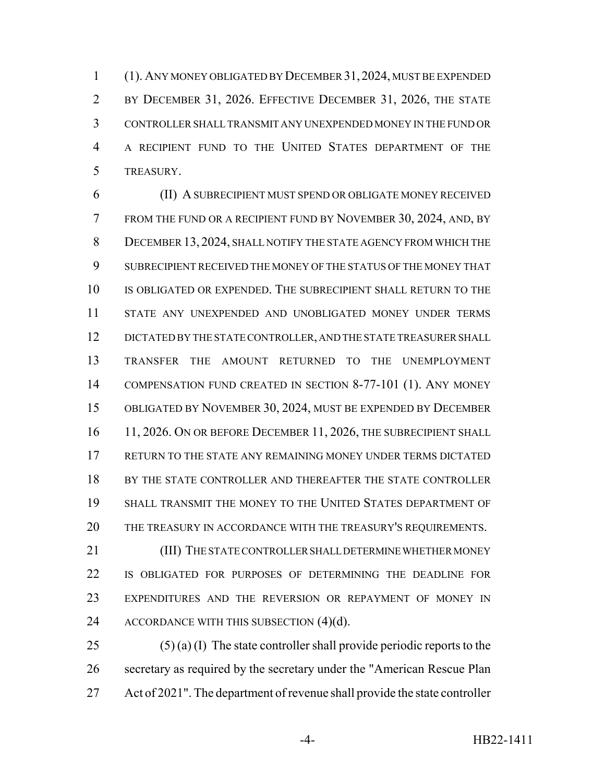(1). ANY MONEY OBLIGATED BY DECEMBER 31, 2024, MUST BE EXPENDED 2 BY DECEMBER 31, 2026. EFFECTIVE DECEMBER 31, 2026, THE STATE CONTROLLER SHALL TRANSMIT ANY UNEXPENDED MONEY IN THE FUND OR A RECIPIENT FUND TO THE UNITED STATES DEPARTMENT OF THE TREASURY.

 (II) A SUBRECIPIENT MUST SPEND OR OBLIGATE MONEY RECEIVED FROM THE FUND OR A RECIPIENT FUND BY NOVEMBER 30, 2024, AND, BY DECEMBER 13, 2024, SHALL NOTIFY THE STATE AGENCY FROM WHICH THE SUBRECIPIENT RECEIVED THE MONEY OF THE STATUS OF THE MONEY THAT 10 IS OBLIGATED OR EXPENDED. THE SUBRECIPIENT SHALL RETURN TO THE STATE ANY UNEXPENDED AND UNOBLIGATED MONEY UNDER TERMS DICTATED BY THE STATE CONTROLLER, AND THE STATE TREASURER SHALL TRANSFER THE AMOUNT RETURNED TO THE UNEMPLOYMENT COMPENSATION FUND CREATED IN SECTION 8-77-101 (1). ANY MONEY OBLIGATED BY NOVEMBER 30, 2024, MUST BE EXPENDED BY DECEMBER 16 11, 2026. ON OR BEFORE DECEMBER 11, 2026, THE SUBRECIPIENT SHALL RETURN TO THE STATE ANY REMAINING MONEY UNDER TERMS DICTATED 18 BY THE STATE CONTROLLER AND THEREAFTER THE STATE CONTROLLER SHALL TRANSMIT THE MONEY TO THE UNITED STATES DEPARTMENT OF THE TREASURY IN ACCORDANCE WITH THE TREASURY'S REQUIREMENTS.

**(III) THE STATE CONTROLLER SHALL DETERMINE WHETHER MONEY**  IS OBLIGATED FOR PURPOSES OF DETERMINING THE DEADLINE FOR EXPENDITURES AND THE REVERSION OR REPAYMENT OF MONEY IN 24 ACCORDANCE WITH THIS SUBSECTION (4)(d).

25 (5) (a) (I) The state controller shall provide periodic reports to the secretary as required by the secretary under the "American Rescue Plan Act of 2021". The department of revenue shall provide the state controller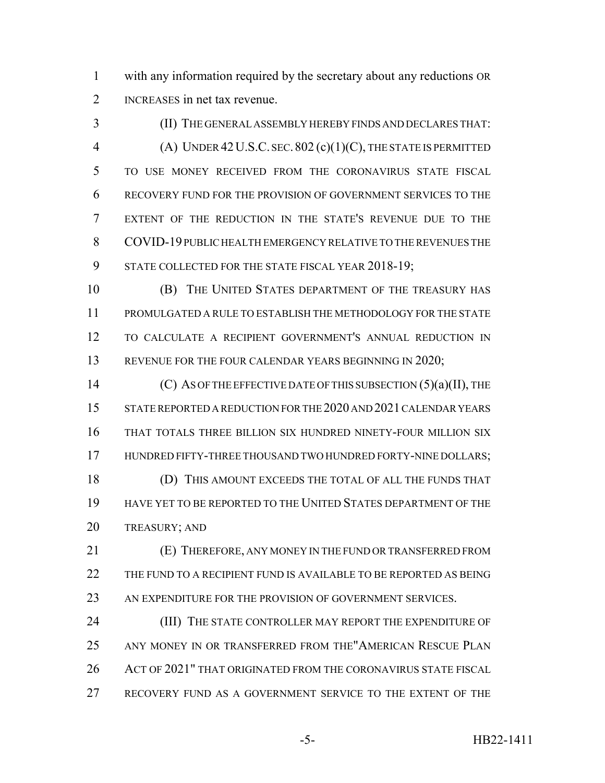with any information required by the secretary about any reductions OR INCREASES in net tax revenue.

 (II) THE GENERAL ASSEMBLY HEREBY FINDS AND DECLARES THAT: (A) UNDER 42U.S.C. SEC.802 (c)(1)(C), THE STATE IS PERMITTED TO USE MONEY RECEIVED FROM THE CORONAVIRUS STATE FISCAL RECOVERY FUND FOR THE PROVISION OF GOVERNMENT SERVICES TO THE EXTENT OF THE REDUCTION IN THE STATE'S REVENUE DUE TO THE COVID-19 PUBLIC HEALTH EMERGENCY RELATIVE TO THE REVENUES THE 9 STATE COLLECTED FOR THE STATE FISCAL YEAR 2018-19;

 (B) THE UNITED STATES DEPARTMENT OF THE TREASURY HAS PROMULGATED A RULE TO ESTABLISH THE METHODOLOGY FOR THE STATE TO CALCULATE A RECIPIENT GOVERNMENT'S ANNUAL REDUCTION IN 13 REVENUE FOR THE FOUR CALENDAR YEARS BEGINNING IN 2020;

14 (C) AS OF THE EFFECTIVE DATE OF THIS SUBSECTION (5)(a)(II), THE 15 STATE REPORTED A REDUCTION FOR THE 2020 AND 2021 CALENDAR YEARS THAT TOTALS THREE BILLION SIX HUNDRED NINETY-FOUR MILLION SIX 17 HUNDRED FIFTY-THREE THOUSAND TWO HUNDRED FORTY-NINE DOLLARS; (D) THIS AMOUNT EXCEEDS THE TOTAL OF ALL THE FUNDS THAT HAVE YET TO BE REPORTED TO THE UNITED STATES DEPARTMENT OF THE TREASURY; AND

 (E) THEREFORE, ANY MONEY IN THE FUND OR TRANSFERRED FROM 22 THE FUND TO A RECIPIENT FUND IS AVAILABLE TO BE REPORTED AS BEING 23 AN EXPENDITURE FOR THE PROVISION OF GOVERNMENT SERVICES.

24 (III) THE STATE CONTROLLER MAY REPORT THE EXPENDITURE OF ANY MONEY IN OR TRANSFERRED FROM THE"AMERICAN RESCUE PLAN 26 ACT OF 2021" THAT ORIGINATED FROM THE CORONAVIRUS STATE FISCAL RECOVERY FUND AS A GOVERNMENT SERVICE TO THE EXTENT OF THE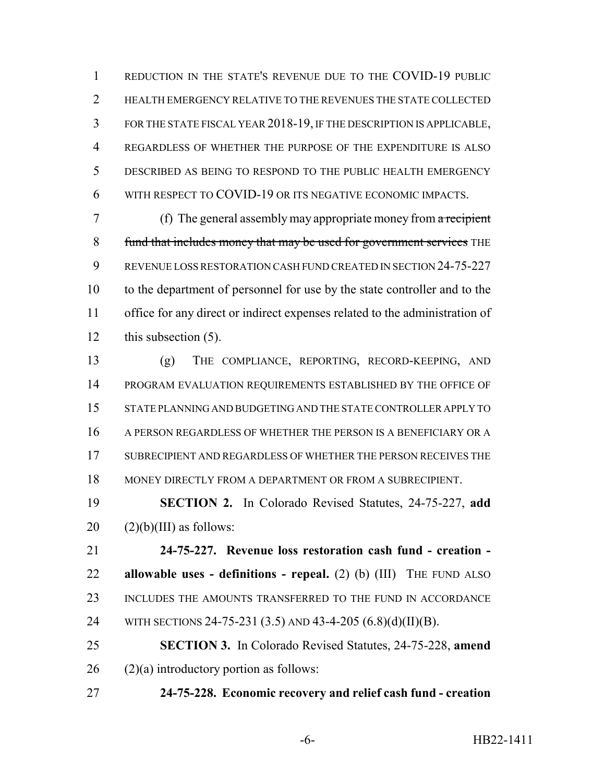REDUCTION IN THE STATE'S REVENUE DUE TO THE COVID-19 PUBLIC 2 HEALTH EMERGENCY RELATIVE TO THE REVENUES THE STATE COLLECTED FOR THE STATE FISCAL YEAR 2018-19, IF THE DESCRIPTION IS APPLICABLE, REGARDLESS OF WHETHER THE PURPOSE OF THE EXPENDITURE IS ALSO DESCRIBED AS BEING TO RESPOND TO THE PUBLIC HEALTH EMERGENCY WITH RESPECT TO COVID-19 OR ITS NEGATIVE ECONOMIC IMPACTS.

 (f) The general assembly may appropriate money from a recipient 8 fund that includes money that may be used for government services THE REVENUE LOSS RESTORATION CASH FUND CREATED IN SECTION 24-75-227 to the department of personnel for use by the state controller and to the office for any direct or indirect expenses related to the administration of this subsection (5).

 (g) THE COMPLIANCE, REPORTING, RECORD-KEEPING, AND PROGRAM EVALUATION REQUIREMENTS ESTABLISHED BY THE OFFICE OF STATE PLANNING AND BUDGETING AND THE STATE CONTROLLER APPLY TO A PERSON REGARDLESS OF WHETHER THE PERSON IS A BENEFICIARY OR A SUBRECIPIENT AND REGARDLESS OF WHETHER THE PERSON RECEIVES THE MONEY DIRECTLY FROM A DEPARTMENT OR FROM A SUBRECIPIENT.

 **SECTION 2.** In Colorado Revised Statutes, 24-75-227, **add**  $20 \quad (2)(b)(III)$  as follows:

 **24-75-227. Revenue loss restoration cash fund - creation - allowable uses - definitions - repeal.** (2) (b) (III) THE FUND ALSO INCLUDES THE AMOUNTS TRANSFERRED TO THE FUND IN ACCORDANCE 24 WITH SECTIONS 24-75-231 (3.5) AND 43-4-205 (6.8)(d)(II)(B).

 **SECTION 3.** In Colorado Revised Statutes, 24-75-228, **amend** (2)(a) introductory portion as follows:

**24-75-228. Economic recovery and relief cash fund - creation**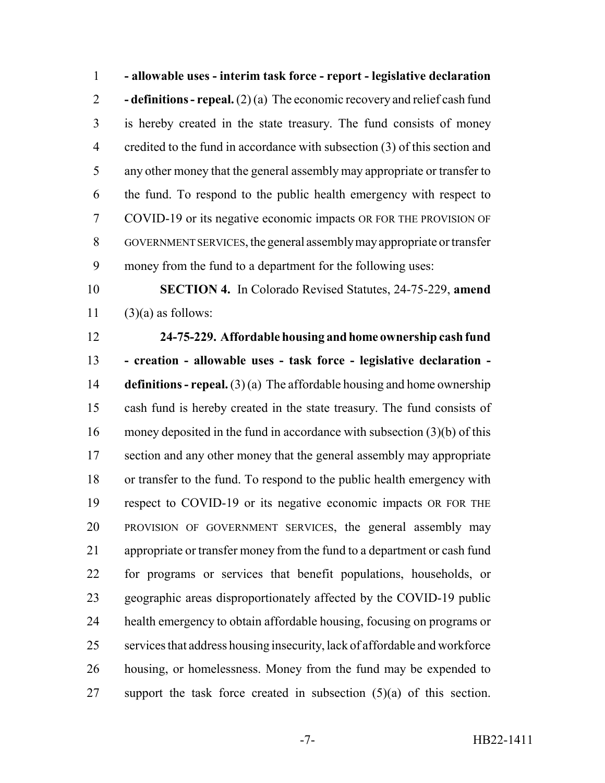**- allowable uses - interim task force - report - legislative declaration - definitions - repeal.** (2) (a) The economic recovery and relief cash fund is hereby created in the state treasury. The fund consists of money 4 credited to the fund in accordance with subsection (3) of this section and any other money that the general assembly may appropriate or transfer to the fund. To respond to the public health emergency with respect to COVID-19 or its negative economic impacts OR FOR THE PROVISION OF GOVERNMENT SERVICES, the general assembly may appropriate or transfer money from the fund to a department for the following uses:

 **SECTION 4.** In Colorado Revised Statutes, 24-75-229, **amend** 11  $(3)(a)$  as follows:

# **24-75-229. Affordable housing and home ownership cash fund - creation - allowable uses - task force - legislative declaration -**

 **definitions - repeal.** (3) (a) The affordable housing and home ownership cash fund is hereby created in the state treasury. The fund consists of money deposited in the fund in accordance with subsection (3)(b) of this 17 section and any other money that the general assembly may appropriate or transfer to the fund. To respond to the public health emergency with respect to COVID-19 or its negative economic impacts OR FOR THE PROVISION OF GOVERNMENT SERVICES, the general assembly may appropriate or transfer money from the fund to a department or cash fund for programs or services that benefit populations, households, or geographic areas disproportionately affected by the COVID-19 public health emergency to obtain affordable housing, focusing on programs or services that address housing insecurity, lack of affordable and workforce housing, or homelessness. Money from the fund may be expended to 27 support the task force created in subsection  $(5)(a)$  of this section.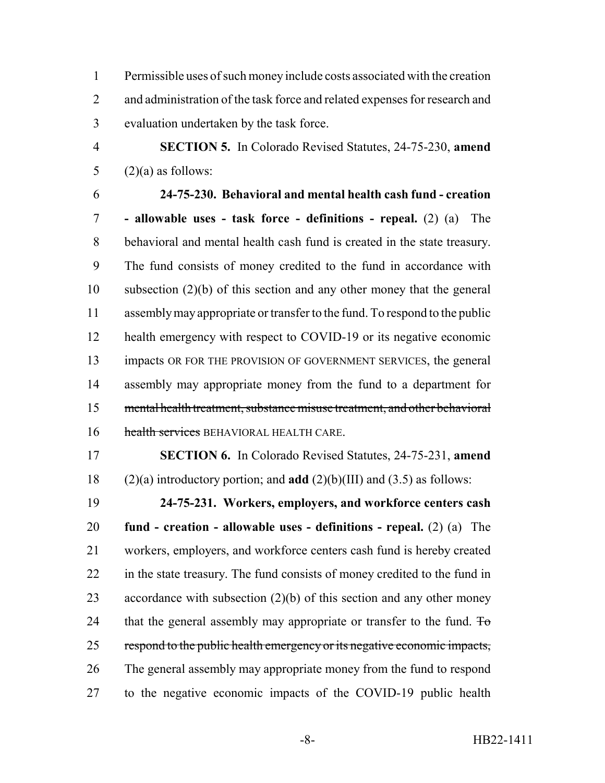Permissible uses of such money include costs associated with the creation 2 and administration of the task force and related expenses for research and evaluation undertaken by the task force.

 **SECTION 5.** In Colorado Revised Statutes, 24-75-230, **amend** 5  $(2)(a)$  as follows:

 **24-75-230. Behavioral and mental health cash fund - creation - allowable uses - task force - definitions - repeal.** (2) (a) The behavioral and mental health cash fund is created in the state treasury. The fund consists of money credited to the fund in accordance with subsection (2)(b) of this section and any other money that the general assembly may appropriate or transfer to the fund. To respond to the public 12 health emergency with respect to COVID-19 or its negative economic impacts OR FOR THE PROVISION OF GOVERNMENT SERVICES, the general assembly may appropriate money from the fund to a department for mental health treatment, substance misuse treatment, and other behavioral 16 health services BEHAVIORAL HEALTH CARE.

 **SECTION 6.** In Colorado Revised Statutes, 24-75-231, **amend** (2)(a) introductory portion; and **add** (2)(b)(III) and (3.5) as follows:

 **24-75-231. Workers, employers, and workforce centers cash fund - creation - allowable uses - definitions - repeal.** (2) (a) The workers, employers, and workforce centers cash fund is hereby created in the state treasury. The fund consists of money credited to the fund in accordance with subsection (2)(b) of this section and any other money 24 that the general assembly may appropriate or transfer to the fund.  $\overline{f}$ 25 respond to the public health emergency or its negative economic impacts, The general assembly may appropriate money from the fund to respond to the negative economic impacts of the COVID-19 public health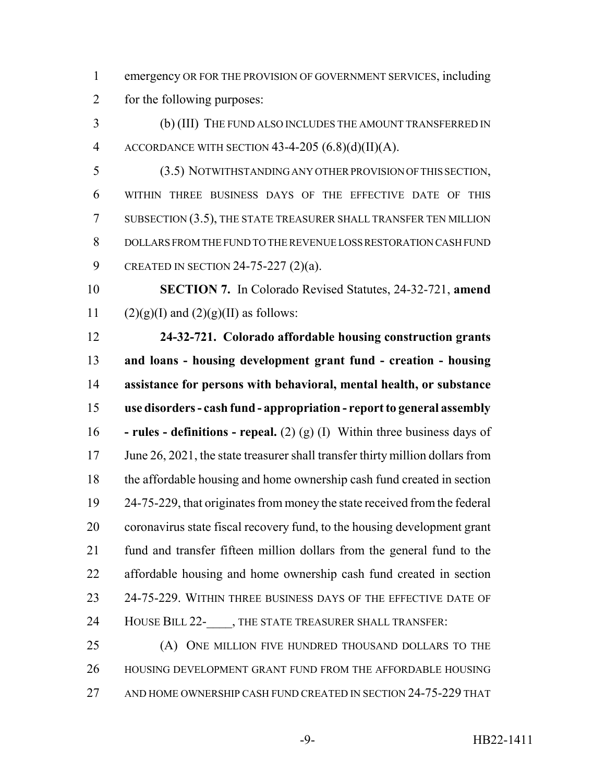emergency OR FOR THE PROVISION OF GOVERNMENT SERVICES, including for the following purposes:

 (b) (III) THE FUND ALSO INCLUDES THE AMOUNT TRANSFERRED IN 4 ACCORDANCE WITH SECTION  $43-4-205(6.8)(d)(II)(A)$ .

 (3.5) NOTWITHSTANDING ANY OTHER PROVISION OF THIS SECTION, WITHIN THREE BUSINESS DAYS OF THE EFFECTIVE DATE OF THIS SUBSECTION (3.5), THE STATE TREASURER SHALL TRANSFER TEN MILLION DOLLARS FROM THE FUND TO THE REVENUE LOSS RESTORATION CASH FUND CREATED IN SECTION 24-75-227 (2)(a).

 **SECTION 7.** In Colorado Revised Statutes, 24-32-721, **amend** 11 (2)(g)(I) and (2)(g)(II) as follows:

 **24-32-721. Colorado affordable housing construction grants and loans - housing development grant fund - creation - housing assistance for persons with behavioral, mental health, or substance use disorders - cash fund - appropriation - report to general assembly - rules - definitions - repeal.** (2) (g) (I) Within three business days of 17 June 26, 2021, the state treasurer shall transfer thirty million dollars from the affordable housing and home ownership cash fund created in section 24-75-229, that originates from money the state received from the federal coronavirus state fiscal recovery fund, to the housing development grant fund and transfer fifteen million dollars from the general fund to the affordable housing and home ownership cash fund created in section 23 24-75-229. WITHIN THREE BUSINESS DAYS OF THE EFFECTIVE DATE OF 24 HOUSE BILL 22- , THE STATE TREASURER SHALL TRANSFER:

 (A) ONE MILLION FIVE HUNDRED THOUSAND DOLLARS TO THE HOUSING DEVELOPMENT GRANT FUND FROM THE AFFORDABLE HOUSING 27 AND HOME OWNERSHIP CASH FUND CREATED IN SECTION 24-75-229 THAT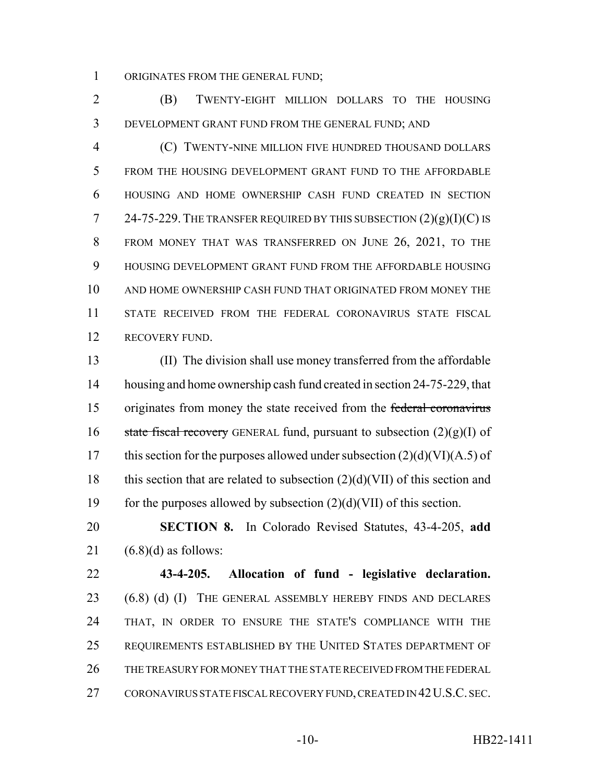ORIGINATES FROM THE GENERAL FUND;

 (B) TWENTY-EIGHT MILLION DOLLARS TO THE HOUSING DEVELOPMENT GRANT FUND FROM THE GENERAL FUND; AND

 (C) TWENTY-NINE MILLION FIVE HUNDRED THOUSAND DOLLARS FROM THE HOUSING DEVELOPMENT GRANT FUND TO THE AFFORDABLE HOUSING AND HOME OWNERSHIP CASH FUND CREATED IN SECTION 7 24-75-229. THE TRANSFER REQUIRED BY THIS SUBSECTION  $(2)(g)(I)(C)$  is FROM MONEY THAT WAS TRANSFERRED ON JUNE 26, 2021, TO THE HOUSING DEVELOPMENT GRANT FUND FROM THE AFFORDABLE HOUSING AND HOME OWNERSHIP CASH FUND THAT ORIGINATED FROM MONEY THE STATE RECEIVED FROM THE FEDERAL CORONAVIRUS STATE FISCAL 12 RECOVERY FUND.

 (II) The division shall use money transferred from the affordable 14 housing and home ownership cash fund created in section 24-75-229, that originates from money the state received from the federal coronavirus 16 state fiscal recovery GENERAL fund, pursuant to subsection  $(2)(g)(I)$  of 17 this section for the purposes allowed under subsection  $(2)(d)(VI)(A.5)$  of 18 this section that are related to subsection  $(2)(d)(VII)$  of this section and 19 for the purposes allowed by subsection  $(2)(d)(VII)$  of this section.

 **SECTION 8.** In Colorado Revised Statutes, 43-4-205, **add** 21  $(6.8)(d)$  as follows:

 **43-4-205. Allocation of fund - legislative declaration.** (6.8) (d) (I) THE GENERAL ASSEMBLY HEREBY FINDS AND DECLARES THAT, IN ORDER TO ENSURE THE STATE'S COMPLIANCE WITH THE REQUIREMENTS ESTABLISHED BY THE UNITED STATES DEPARTMENT OF THE TREASURY FOR MONEY THAT THE STATE RECEIVED FROM THE FEDERAL 27 CORONAVIRUS STATE FISCAL RECOVERY FUND, CREATED IN 42 U.S.C. SEC.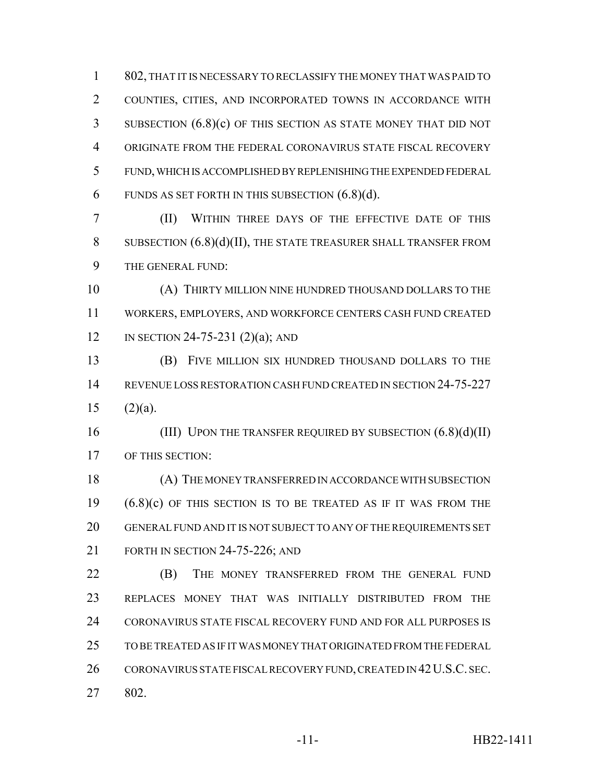802, THAT IT IS NECESSARY TO RECLASSIFY THE MONEY THAT WAS PAID TO COUNTIES, CITIES, AND INCORPORATED TOWNS IN ACCORDANCE WITH SUBSECTION (6.8)(c) OF THIS SECTION AS STATE MONEY THAT DID NOT ORIGINATE FROM THE FEDERAL CORONAVIRUS STATE FISCAL RECOVERY FUND, WHICH IS ACCOMPLISHED BY REPLENISHING THE EXPENDED FEDERAL 6 FUNDS AS SET FORTH IN THIS SUBSECTION  $(6.8)(d)$ .

 (II) WITHIN THREE DAYS OF THE EFFECTIVE DATE OF THIS SUBSECTION (6.8)(d)(II), THE STATE TREASURER SHALL TRANSFER FROM THE GENERAL FUND:

 (A) THIRTY MILLION NINE HUNDRED THOUSAND DOLLARS TO THE WORKERS, EMPLOYERS, AND WORKFORCE CENTERS CASH FUND CREATED IN SECTION 24-75-231 (2)(a); AND

 (B) FIVE MILLION SIX HUNDRED THOUSAND DOLLARS TO THE REVENUE LOSS RESTORATION CASH FUND CREATED IN SECTION 24-75-227 (2)(a).

16 (III) UPON THE TRANSFER REQUIRED BY SUBSECTION  $(6.8)(d)(II)$ OF THIS SECTION:

 (A) THE MONEY TRANSFERRED IN ACCORDANCE WITH SUBSECTION (6.8)(c) OF THIS SECTION IS TO BE TREATED AS IF IT WAS FROM THE GENERAL FUND AND IT IS NOT SUBJECT TO ANY OF THE REQUIREMENTS SET 21 FORTH IN SECTION 24-75-226; AND

**(B)** THE MONEY TRANSFERRED FROM THE GENERAL FUND REPLACES MONEY THAT WAS INITIALLY DISTRIBUTED FROM THE CORONAVIRUS STATE FISCAL RECOVERY FUND AND FOR ALL PURPOSES IS TO BE TREATED AS IF IT WAS MONEY THAT ORIGINATED FROM THE FEDERAL 26 CORONAVIRUS STATE FISCAL RECOVERY FUND, CREATED IN 42 U.S.C. SEC. 802.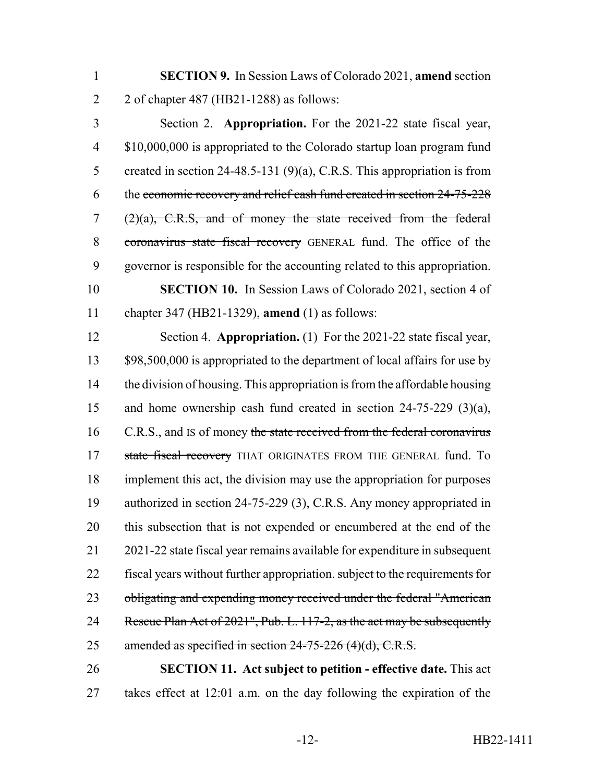**SECTION 9.** In Session Laws of Colorado 2021, **amend** section 2 of chapter 487 (HB21-1288) as follows:

 Section 2. **Appropriation.** For the 2021-22 state fiscal year, \$10,000,000 is appropriated to the Colorado startup loan program fund 5 created in section 24-48.5-131 (9)(a), C.R.S. This appropriation is from the economic recovery and relief cash fund created in section 24-75-228  $(2)(a)$ , C.R.S, and of money the state received from the federal 8 coronavirus state fiscal recovery GENERAL fund. The office of the governor is responsible for the accounting related to this appropriation. **SECTION 10.** In Session Laws of Colorado 2021, section 4 of chapter 347 (HB21-1329), **amend** (1) as follows:

 Section 4. **Appropriation.** (1) For the 2021-22 state fiscal year, 13 \$98,500,000 is appropriated to the department of local affairs for use by the division of housing. This appropriation is from the affordable housing and home ownership cash fund created in section 24-75-229 (3)(a), 16 C.R.S., and IS of money the state received from the federal coronavirus 17 state fiscal recovery THAT ORIGINATES FROM THE GENERAL fund. To implement this act, the division may use the appropriation for purposes authorized in section 24-75-229 (3), C.R.S. Any money appropriated in this subsection that is not expended or encumbered at the end of the 2021-22 state fiscal year remains available for expenditure in subsequent 22 fiscal years without further appropriation. subject to the requirements for 23 obligating and expending money received under the federal "American 24 Rescue Plan Act of 2021", Pub. L. 117-2, as the act may be subsequently 25 amended as specified in section  $24-75-226$  (4)(d), C.R.S.

 **SECTION 11. Act subject to petition - effective date.** This act takes effect at 12:01 a.m. on the day following the expiration of the